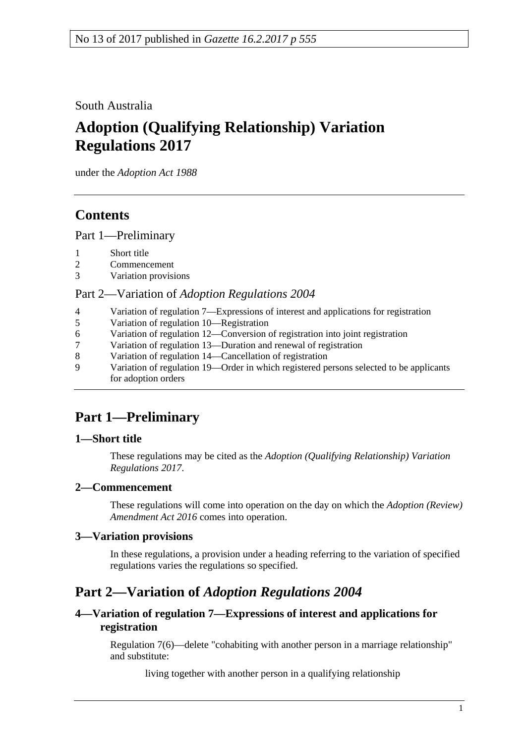South Australia

# **Adoption (Qualifying Relationship) Variation Regulations 2017**

under the *Adoption Act 1988*

## **Contents**

Part [1—Preliminary](#page-0-0)

- 1 [Short title](#page-0-1)
- 2 [Commencement](#page-0-2)
- 3 [Variation provisions](#page-0-3)

### Part 2—Variation of *[Adoption Regulations](#page-0-4) 2004*

| $\overline{4}$ | Variation of regulation 7—Expressions of interest and applications for registration    |
|----------------|----------------------------------------------------------------------------------------|
| 5              | Variation of regulation 10—Registration                                                |
| 6              | Variation of regulation 12—Conversion of registration into joint registration          |
| 7              | Variation of regulation 13—Duration and renewal of registration                        |
| 8              | Variation of regulation 14—Cancellation of registration                                |
| 9              | Variation of regulation 19—Order in which registered persons selected to be applicants |
|                | for adoption orders                                                                    |
|                |                                                                                        |

## <span id="page-0-0"></span>**Part 1—Preliminary**

## <span id="page-0-1"></span>**1—Short title**

These regulations may be cited as the *Adoption (Qualifying Relationship) Variation Regulations 2017*.

#### <span id="page-0-2"></span>**2—Commencement**

These regulations will come into operation on the day on which the *[Adoption \(Review\)](http://www.legislation.sa.gov.au/index.aspx?action=legref&type=act&legtitle=Adoption%20(Review)%20Amendment%20Act%202016)  [Amendment Act](http://www.legislation.sa.gov.au/index.aspx?action=legref&type=act&legtitle=Adoption%20(Review)%20Amendment%20Act%202016) 2016* comes into operation.

## <span id="page-0-3"></span>**3—Variation provisions**

In these regulations, a provision under a heading referring to the variation of specified regulations varies the regulations so specified.

## <span id="page-0-4"></span>**Part 2—Variation of** *Adoption Regulations 2004*

### <span id="page-0-5"></span>**4—Variation of regulation 7—Expressions of interest and applications for registration**

Regulation 7(6)—delete "cohabiting with another person in a marriage relationship" and substitute:

living together with another person in a qualifying relationship